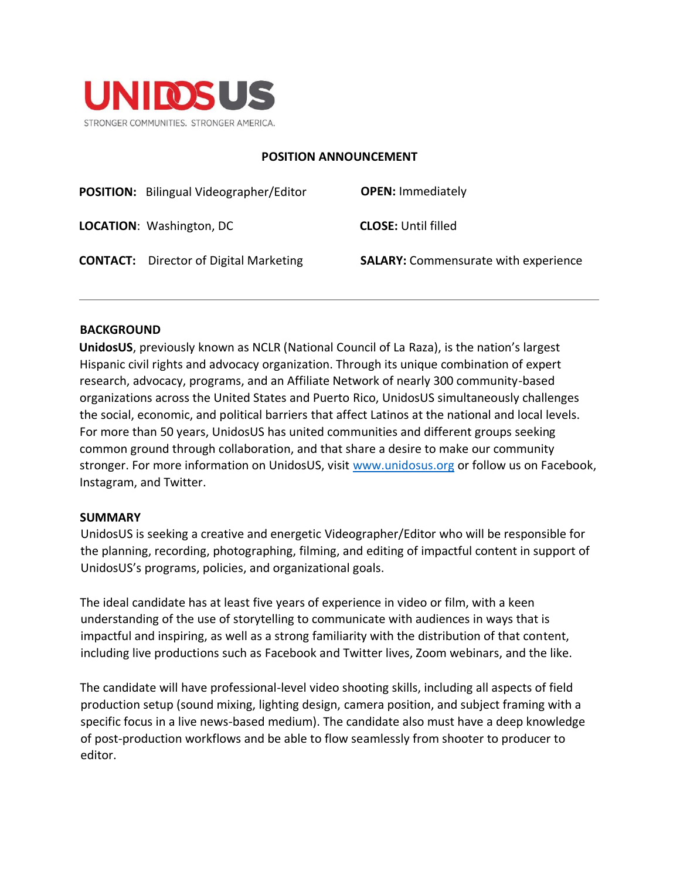

#### **POSITION ANNOUNCEMENT**

| <b>POSITION:</b> Bilingual Videographer/Editor | <b>OPEN: Immediately</b>                    |
|------------------------------------------------|---------------------------------------------|
| <b>LOCATION: Washington, DC</b>                | <b>CLOSE: Until filled</b>                  |
| <b>CONTACT:</b> Director of Digital Marketing  | <b>SALARY:</b> Commensurate with experience |

#### **BACKGROUND**

**UnidosUS**, previously known as NCLR (National Council of La Raza), is the nation's largest Hispanic civil rights and advocacy organization. Through its unique combination of expert research, advocacy, programs, and an Affiliate Network of nearly 300 community-based organizations across the United States and Puerto Rico, UnidosUS simultaneously challenges the social, economic, and political barriers that affect Latinos at the national and local levels. For more than 50 years, UnidosUS has united communities and different groups seeking common ground through collaboration, and that share a desire to make our community stronger. For more information on UnidosUS, visit [www.unidosus.org](http://www.unidosus.org/) or follow us on Facebook, Instagram, and Twitter.

#### **SUMMARY**

UnidosUS is seeking a creative and energetic Videographer/Editor who will be responsible for the planning, recording, photographing, filming, and editing of impactful content in support of UnidosUS's programs, policies, and organizational goals.

The ideal candidate has at least five years of experience in video or film, with a keen understanding of the use of storytelling to communicate with audiences in ways that is impactful and inspiring, as well as a strong familiarity with the distribution of that content, including live productions such as Facebook and Twitter lives, Zoom webinars, and the like.

The candidate will have professional-level video shooting skills, including all aspects of field production setup (sound mixing, lighting design, camera position, and subject framing with a specific focus in a live news-based medium). The candidate also must have a deep knowledge of post-production workflows and be able to flow seamlessly from shooter to producer to editor.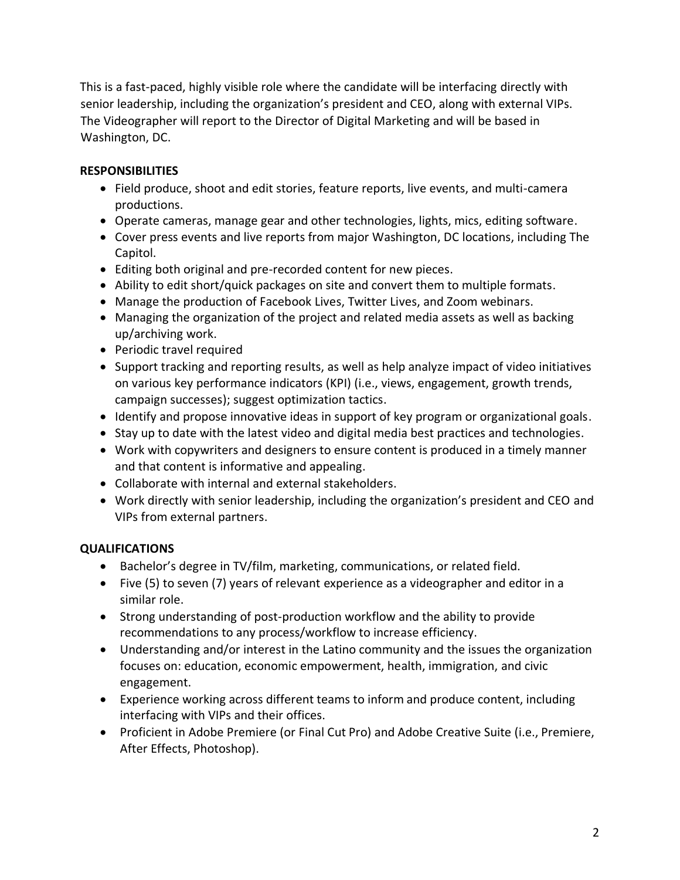This is a fast-paced, highly visible role where the candidate will be interfacing directly with senior leadership, including the organization's president and CEO, along with external VIPs. The Videographer will report to the Director of Digital Marketing and will be based in Washington, DC.

## **RESPONSIBILITIES**

- Field produce, shoot and edit stories, feature reports, live events, and multi-camera productions.
- Operate cameras, manage gear and other technologies, lights, mics, editing software.
- Cover press events and live reports from major Washington, DC locations, including The Capitol.
- Editing both original and pre-recorded content for new pieces.
- Ability to edit short/quick packages on site and convert them to multiple formats.
- Manage the production of Facebook Lives, Twitter Lives, and Zoom webinars.
- Managing the organization of the project and related media assets as well as backing up/archiving work.
- Periodic travel required
- Support tracking and reporting results, as well as help analyze impact of video initiatives on various key performance indicators (KPI) (i.e., views, engagement, growth trends, campaign successes); suggest optimization tactics.
- Identify and propose innovative ideas in support of key program or organizational goals.
- Stay up to date with the latest video and digital media best practices and technologies.
- Work with copywriters and designers to ensure content is produced in a timely manner and that content is informative and appealing.
- Collaborate with internal and external stakeholders.
- Work directly with senior leadership, including the organization's president and CEO and VIPs from external partners.

### **QUALIFICATIONS**

- Bachelor's degree in TV/film, marketing, communications, or related field.
- Five (5) to seven (7) years of relevant experience as a videographer and editor in a similar role.
- Strong understanding of post-production workflow and the ability to provide recommendations to any process/workflow to increase efficiency.
- Understanding and/or interest in the Latino community and the issues the organization focuses on: education, economic empowerment, health, immigration, and civic engagement.
- Experience working across different teams to inform and produce content, including interfacing with VIPs and their offices.
- Proficient in Adobe Premiere (or Final Cut Pro) and Adobe Creative Suite (i.e., Premiere, After Effects, Photoshop).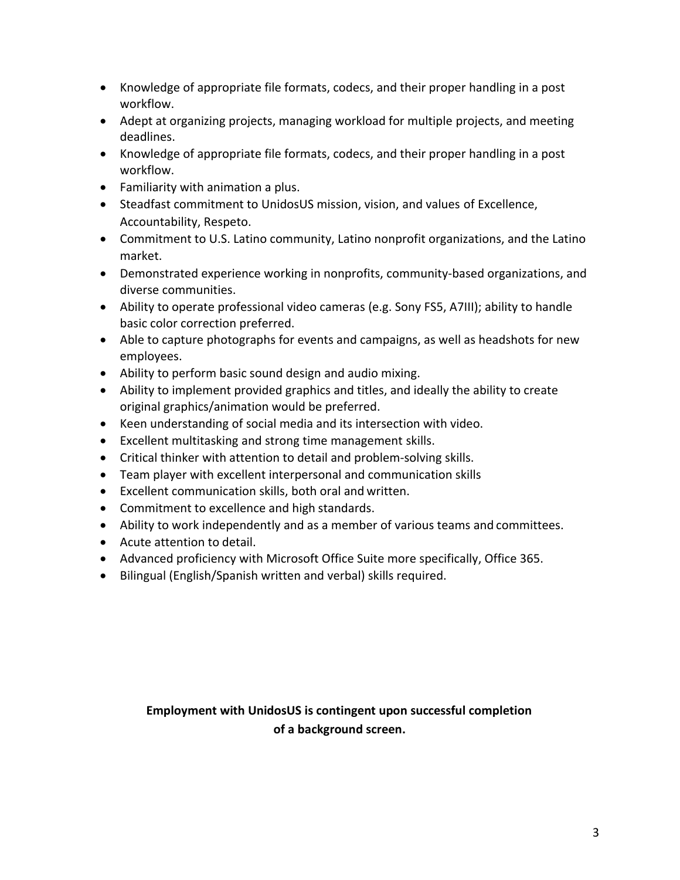- Knowledge of appropriate file formats, codecs, and their proper handling in a post workflow.
- Adept at organizing projects, managing workload for multiple projects, and meeting deadlines.
- Knowledge of appropriate file formats, codecs, and their proper handling in a post workflow.
- Familiarity with animation a plus.
- Steadfast commitment to UnidosUS mission, vision, and values of Excellence, Accountability, Respeto.
- Commitment to U.S. Latino community, Latino nonprofit organizations, and the Latino market.
- Demonstrated experience working in nonprofits, community-based organizations, and diverse communities.
- Ability to operate professional video cameras (e.g. Sony FS5, A7III); ability to handle basic color correction preferred.
- Able to capture photographs for events and campaigns, as well as headshots for new employees.
- Ability to perform basic sound design and audio mixing.
- Ability to implement provided graphics and titles, and ideally the ability to create original graphics/animation would be preferred.
- Keen understanding of social media and its intersection with video.
- Excellent multitasking and strong time management skills.
- Critical thinker with attention to detail and problem-solving skills.
- Team player with excellent interpersonal and communication skills
- Excellent communication skills, both oral and written.
- Commitment to excellence and high standards.
- Ability to work independently and as a member of various teams and committees.
- Acute attention to detail.
- Advanced proficiency with Microsoft Office Suite more specifically, Office 365.
- Bilingual (English/Spanish written and verbal) skills required.

# **Employment with UnidosUS is contingent upon successful completion of a background screen.**